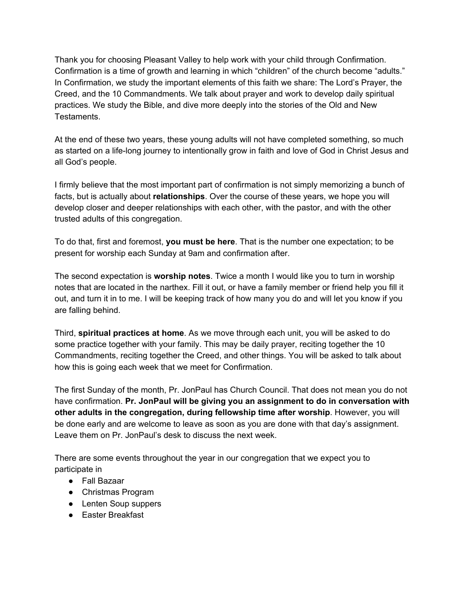Thank you for choosing Pleasant Valley to help work with your child through Confirmation. Confirmation is a time of growth and learning in which "children" of the church become "adults." In Confirmation, we study the important elements of this faith we share: The Lord's Prayer, the Creed, and the 10 Commandments. We talk about prayer and work to develop daily spiritual practices. We study the Bible, and dive more deeply into the stories of the Old and New Testaments.

At the end of these two years, these young adults will not have completed something, so much as started on a life-long journey to intentionally grow in faith and love of God in Christ Jesus and all God's people.

I firmly believe that the most important part of confirmation is not simply memorizing a bunch of facts, but is actually about **relationships**. Over the course of these years, we hope you will develop closer and deeper relationships with each other, with the pastor, and with the other trusted adults of this congregation.

To do that, first and foremost, **you must be here**. That is the number one expectation; to be present for worship each Sunday at 9am and confirmation after.

The second expectation is **worship notes**. Twice a month I would like you to turn in worship notes that are located in the narthex. Fill it out, or have a family member or friend help you fill it out, and turn it in to me. I will be keeping track of how many you do and will let you know if you are falling behind.

Third, **spiritual practices at home**. As we move through each unit, you will be asked to do some practice together with your family. This may be daily prayer, reciting together the 10 Commandments, reciting together the Creed, and other things. You will be asked to talk about how this is going each week that we meet for Confirmation.

The first Sunday of the month, Pr. JonPaul has Church Council. That does not mean you do not have confirmation. **Pr. JonPaul will be giving you an assignment to do in conversation with other adults in the congregation, during fellowship time after worship**. However, you will be done early and are welcome to leave as soon as you are done with that day's assignment. Leave them on Pr. JonPaul's desk to discuss the next week.

There are some events throughout the year in our congregation that we expect you to participate in

- Fall Bazaar
- Christmas Program
- Lenten Soup suppers
- Easter Breakfast